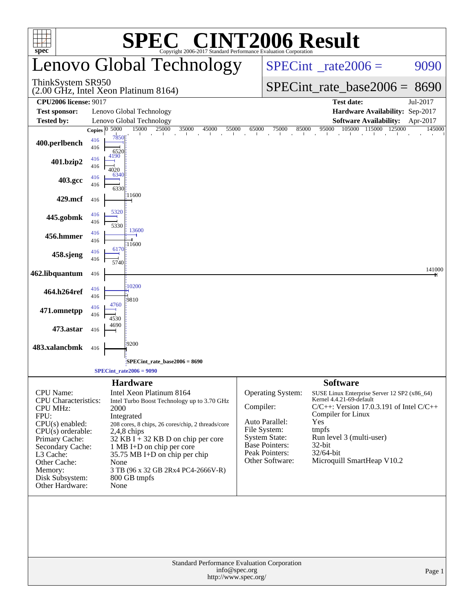|                                                                                                                                                                                                                                            |                            | $\bigwedge$                                                                                                                                                                                                                                                                                                                                       |                                           | <b>INT2006 Result</b>                                                                                                              |                                                                                          |                                                                                                                                                         |                    |
|--------------------------------------------------------------------------------------------------------------------------------------------------------------------------------------------------------------------------------------------|----------------------------|---------------------------------------------------------------------------------------------------------------------------------------------------------------------------------------------------------------------------------------------------------------------------------------------------------------------------------------------------|-------------------------------------------|------------------------------------------------------------------------------------------------------------------------------------|------------------------------------------------------------------------------------------|---------------------------------------------------------------------------------------------------------------------------------------------------------|--------------------|
| $spec^*$                                                                                                                                                                                                                                   |                            | Copyright 2006-2017 Standard Performance Evaluation Corporation<br>Lenovo Global Technology                                                                                                                                                                                                                                                       |                                           | $SPECint^{\circ}$ <sub>_rate2006</sub> =                                                                                           |                                                                                          |                                                                                                                                                         | 9090               |
| ThinkSystem SR950                                                                                                                                                                                                                          |                            | (2.00 GHz, Intel Xeon Platinum 8164)                                                                                                                                                                                                                                                                                                              |                                           |                                                                                                                                    |                                                                                          | $SPECint_rate_base2006 = 8690$                                                                                                                          |                    |
| <b>CPU2006 license: 9017</b>                                                                                                                                                                                                               |                            |                                                                                                                                                                                                                                                                                                                                                   |                                           |                                                                                                                                    |                                                                                          | <b>Test date:</b>                                                                                                                                       | Jul-2017           |
| <b>Test sponsor:</b>                                                                                                                                                                                                                       |                            | Lenovo Global Technology                                                                                                                                                                                                                                                                                                                          |                                           |                                                                                                                                    |                                                                                          | Hardware Availability: Sep-2017                                                                                                                         |                    |
| <b>Tested by:</b>                                                                                                                                                                                                                          | Copies $\overline{0.5000}$ | Lenovo Global Technology<br>15000<br>25000<br>35000<br>45000                                                                                                                                                                                                                                                                                      | 55000<br>65000                            | 75000<br>85000                                                                                                                     |                                                                                          | <b>Software Availability:</b><br>95000 105000 115000 125000                                                                                             | Apr-2017<br>145000 |
| 400.perlbench                                                                                                                                                                                                                              | 416<br>416<br>416          | <b>COL</b><br>7850<br>6520<br>4190                                                                                                                                                                                                                                                                                                                | $\mathbf{I}$<br>$\mathbf{1}$<br>$\sim 10$ |                                                                                                                                    | the contract of the contract of                                                          |                                                                                                                                                         |                    |
| 401.bzip2                                                                                                                                                                                                                                  | 416<br>416                 | 4020<br>6340                                                                                                                                                                                                                                                                                                                                      |                                           |                                                                                                                                    |                                                                                          |                                                                                                                                                         |                    |
| 403.gcc                                                                                                                                                                                                                                    | 416                        | 6330<br>11600                                                                                                                                                                                                                                                                                                                                     |                                           |                                                                                                                                    |                                                                                          |                                                                                                                                                         |                    |
| 429.mcf                                                                                                                                                                                                                                    | 416<br>416                 | 5320                                                                                                                                                                                                                                                                                                                                              |                                           |                                                                                                                                    |                                                                                          |                                                                                                                                                         |                    |
| 445.gobmk                                                                                                                                                                                                                                  | 416<br>416                 | 5330<br>13600                                                                                                                                                                                                                                                                                                                                     |                                           |                                                                                                                                    |                                                                                          |                                                                                                                                                         |                    |
| 456.hmmer                                                                                                                                                                                                                                  | 416<br>416                 | 11600<br>6170                                                                                                                                                                                                                                                                                                                                     |                                           |                                                                                                                                    |                                                                                          |                                                                                                                                                         |                    |
| 458.sjeng                                                                                                                                                                                                                                  | 416                        | 5740                                                                                                                                                                                                                                                                                                                                              |                                           |                                                                                                                                    |                                                                                          |                                                                                                                                                         | 141000             |
| 462.libquantum                                                                                                                                                                                                                             | 416                        |                                                                                                                                                                                                                                                                                                                                                   |                                           |                                                                                                                                    |                                                                                          |                                                                                                                                                         |                    |
| 464.h264ref                                                                                                                                                                                                                                | 416<br>416                 | 10200<br>9810                                                                                                                                                                                                                                                                                                                                     |                                           |                                                                                                                                    |                                                                                          |                                                                                                                                                         |                    |
| 471.omnetpp                                                                                                                                                                                                                                | 416<br>416                 | 4760<br>4530                                                                                                                                                                                                                                                                                                                                      |                                           |                                                                                                                                    |                                                                                          |                                                                                                                                                         |                    |
| 473.astar                                                                                                                                                                                                                                  | 416                        | 4690                                                                                                                                                                                                                                                                                                                                              |                                           |                                                                                                                                    |                                                                                          |                                                                                                                                                         |                    |
| 483.xalancbmk                                                                                                                                                                                                                              | 416                        | 9200                                                                                                                                                                                                                                                                                                                                              |                                           |                                                                                                                                    |                                                                                          |                                                                                                                                                         |                    |
|                                                                                                                                                                                                                                            |                            | SPECint_rate_base2006 = 8690<br>$SPECint_rate2006 = 9090$                                                                                                                                                                                                                                                                                         |                                           |                                                                                                                                    |                                                                                          |                                                                                                                                                         |                    |
|                                                                                                                                                                                                                                            |                            | <b>Hardware</b>                                                                                                                                                                                                                                                                                                                                   |                                           |                                                                                                                                    | <b>Software</b>                                                                          |                                                                                                                                                         |                    |
| <b>CPU</b> Name:<br><b>CPU</b> Characteristics:<br><b>CPU MHz:</b><br>FPU:<br>$CPU(s)$ enabled:<br>$CPU(s)$ orderable:<br>Primary Cache:<br>Secondary Cache:<br>L3 Cache:<br>Other Cache:<br>Memory:<br>Disk Subsystem:<br>Other Hardware: |                            | Intel Xeon Platinum 8164<br>Intel Turbo Boost Technology up to 3.70 GHz<br>2000<br>Integrated<br>208 cores, 8 chips, 26 cores/chip, 2 threads/core<br>$2,4,8$ chips<br>$32$ KB I + 32 KB D on chip per core<br>1 MB I+D on chip per core<br>$35.75$ MB I+D on chip per chip<br>None<br>3 TB (96 x 32 GB 2Rx4 PC4-2666V-R)<br>800 GB tmpfs<br>None | Compiler:                                 | Operating System:<br>Auto Parallel:<br>File System:<br>System State:<br><b>Base Pointers:</b><br>Peak Pointers:<br>Other Software: | Kernel 4.4.21-69-default<br>Compiler for Linux<br>Yes<br>tmpfs<br>$32$ -bit<br>32/64-bit | SUSE Linux Enterprise Server 12 SP2 (x86_64)<br>$C/C++$ : Version 17.0.3.191 of Intel $C/C++$<br>Run level 3 (multi-user)<br>Microquill SmartHeap V10.2 |                    |
|                                                                                                                                                                                                                                            |                            | Standard Performance Evaluation Corporation                                                                                                                                                                                                                                                                                                       | info@spec.org<br>http://www.spec.org/     |                                                                                                                                    |                                                                                          |                                                                                                                                                         | Page 1             |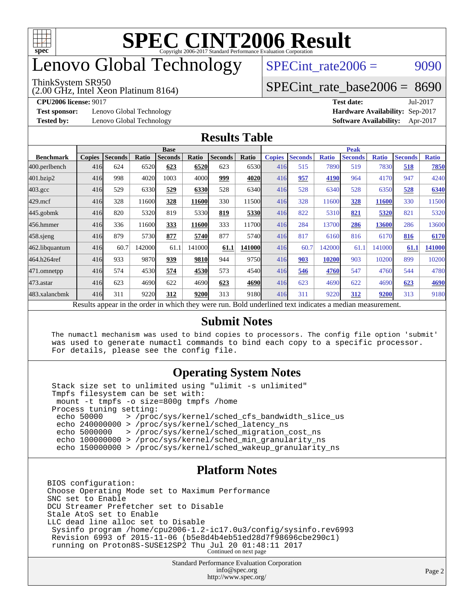

# enovo Global Technology

#### ThinkSystem SR950

(2.00 GHz, Intel Xeon Platinum 8164)

SPECint rate $2006 = 9090$ 

### [SPECint\\_rate\\_base2006 =](http://www.spec.org/auto/cpu2006/Docs/result-fields.html#SPECintratebase2006) 8690

**[Test sponsor:](http://www.spec.org/auto/cpu2006/Docs/result-fields.html#Testsponsor)** Lenovo Global Technology **[Hardware Availability:](http://www.spec.org/auto/cpu2006/Docs/result-fields.html#HardwareAvailability)** Sep-2017

**[CPU2006 license:](http://www.spec.org/auto/cpu2006/Docs/result-fields.html#CPU2006license)** 9017 **[Test date:](http://www.spec.org/auto/cpu2006/Docs/result-fields.html#Testdate)** Jul-2017 **[Tested by:](http://www.spec.org/auto/cpu2006/Docs/result-fields.html#Testedby)** Lenovo Global Technology **[Software Availability:](http://www.spec.org/auto/cpu2006/Docs/result-fields.html#SoftwareAvailability)** Apr-2017

### **[Results Table](http://www.spec.org/auto/cpu2006/Docs/result-fields.html#ResultsTable)**

|                                                                                                            | <b>Base</b>   |                |              |                |        |                |                |               | <b>Peak</b>    |              |                |              |                |              |  |
|------------------------------------------------------------------------------------------------------------|---------------|----------------|--------------|----------------|--------|----------------|----------------|---------------|----------------|--------------|----------------|--------------|----------------|--------------|--|
| <b>Benchmark</b>                                                                                           | <b>Copies</b> | <b>Seconds</b> | <b>Ratio</b> | <b>Seconds</b> | Ratio  | <b>Seconds</b> | <b>Ratio</b>   | <b>Copies</b> | <b>Seconds</b> | <b>Ratio</b> | <b>Seconds</b> | <b>Ratio</b> | <b>Seconds</b> | <b>Ratio</b> |  |
| 400.perlbench                                                                                              | 416           | 624            | 6520         | 623            | 6520   | 623            | 6530           | 416           | 515            | 7890         | 519            | 7830         | 518            | 7850         |  |
| 401.bzip2                                                                                                  | 416           | 998            | 4020         | 1003           | 4000   | 999            | 4020           | 416           | 957            | 4190         | 964            | 4170         | 947            | 4240         |  |
| $403.\mathrm{gcc}$                                                                                         | 416           | 529            | 6330         | 529            | 6330   | 528            | 6340           | 416           | 528            | 6340         | 528            | 6350         | 528            | 6340         |  |
| $429$ .mcf                                                                                                 | 416           | 328            | 11600        | 328            | 11600  | 330            | 11500          | 416           | 328            | 11600        | 328            | 11600        | 330            | 11500        |  |
| $445$ .gobmk                                                                                               | 416           | 820            | 5320         | 819            | 5330   | 819            | 5330           | 416           | 822            | 5310         | 821            | 5320         | 821            | 5320         |  |
| 456.hmmer                                                                                                  | 416           | 336            | 11600        | 333            | 11600  | 333            | 11700 <b>1</b> | 416           | 284            | 13700        | 286            | 13600        | 286            | 13600        |  |
| $458$ .sjeng                                                                                               | 416           | 879            | 5730         | 877            | 5740   | 877            | 5740l          | 416           | 817            | 6160         | 816            | 6170         | 816            | 6170         |  |
| 462.libquantum                                                                                             | 416           | 60.7           | 142000       | 61.1           | 141000 | 61.1           | 141000         | 416           | 60.7           | 142000       | 61.1           | 141000       | 61.1           | 141000       |  |
| 464.h264ref                                                                                                | 416           | 933            | 9870         | 939            | 9810   | 944            | 9750           | 416           | 903            | 10200        | 903            | 10200        | 899            | 10200        |  |
| 471.omnetpp                                                                                                | 416           | 574            | 4530         | 574            | 4530   | 573            | 4540           | 416           | 546            | 4760         | 547            | 4760         | 544            | 4780         |  |
| $473$ . astar                                                                                              | 416           | 623            | 4690         | 622            | 4690   | 623            | 4690           | 416           | 623            | 4690         | 622            | 4690         | 623            | 4690         |  |
| 483.xalancbmk                                                                                              | 416           | 311            | 9220         | 312            | 9200   | 313            | 9180l          | 416           | 311            | 9220         | 312            | 9200         | 313            | 9180         |  |
| 1, 2, 1, 11<br>$\mathbf{D} \cdot \mathbf{I}$<br>2.11<br>$D$ . 1.1 $\cdots$ . 1.1 $\cdots$ . 1.1 $\cdots$ . |               |                |              |                |        |                |                |               |                |              |                |              |                |              |  |

Results appear in the [order in which they were run.](http://www.spec.org/auto/cpu2006/Docs/result-fields.html#RunOrder) Bold underlined text [indicates a median measurement.](http://www.spec.org/auto/cpu2006/Docs/result-fields.html#Median)

### **[Submit Notes](http://www.spec.org/auto/cpu2006/Docs/result-fields.html#SubmitNotes)**

 The numactl mechanism was used to bind copies to processors. The config file option 'submit' was used to generate numactl commands to bind each copy to a specific processor. For details, please see the config file.

### **[Operating System Notes](http://www.spec.org/auto/cpu2006/Docs/result-fields.html#OperatingSystemNotes)**

 Stack size set to unlimited using "ulimit -s unlimited" Tmpfs filesystem can be set with: mount -t tmpfs -o size=800g tmpfs /home Process tuning setting:<br>echo 50000 > /proc echo 50000 > /proc/sys/kernel/sched\_cfs\_bandwidth\_slice\_us echo 240000000 > /proc/sys/kernel/sched\_latency\_ns echo 5000000 > /proc/sys/kernel/sched\_migration\_cost\_ns echo 100000000 > /proc/sys/kernel/sched\_min\_granularity\_ns echo 150000000 > /proc/sys/kernel/sched\_wakeup\_granularity\_ns

### **[Platform Notes](http://www.spec.org/auto/cpu2006/Docs/result-fields.html#PlatformNotes)**

BIOS configuration: Choose Operating Mode set to Maximum Performance SNC set to Enable DCU Streamer Prefetcher set to Disable Stale AtoS set to Enable LLC dead line alloc set to Disable Sysinfo program /home/cpu2006-1.2-ic17.0u3/config/sysinfo.rev6993 Revision 6993 of 2015-11-06 (b5e8d4b4eb51ed28d7f98696cbe290c1) running on Proton8S-SUSE12SP2 Thu Jul 20 01:48:11 2017 Continued on next page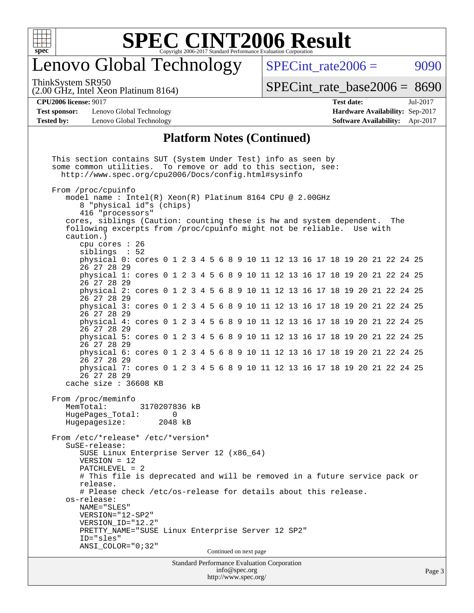

## enovo Global Technology

SPECint rate $2006 = 9090$ 

(2.00 GHz, Intel Xeon Platinum 8164) ThinkSystem SR950

[SPECint\\_rate\\_base2006 =](http://www.spec.org/auto/cpu2006/Docs/result-fields.html#SPECintratebase2006) 8690

**[Test sponsor:](http://www.spec.org/auto/cpu2006/Docs/result-fields.html#Testsponsor)** Lenovo Global Technology **[Hardware Availability:](http://www.spec.org/auto/cpu2006/Docs/result-fields.html#HardwareAvailability)** Sep-2017 **[Tested by:](http://www.spec.org/auto/cpu2006/Docs/result-fields.html#Testedby)** Lenovo Global Technology **[Software Availability:](http://www.spec.org/auto/cpu2006/Docs/result-fields.html#SoftwareAvailability)** Apr-2017

**[CPU2006 license:](http://www.spec.org/auto/cpu2006/Docs/result-fields.html#CPU2006license)** 9017 **[Test date:](http://www.spec.org/auto/cpu2006/Docs/result-fields.html#Testdate)** Jul-2017

### **[Platform Notes \(Continued\)](http://www.spec.org/auto/cpu2006/Docs/result-fields.html#PlatformNotes)**

Standard Performance Evaluation Corporation [info@spec.org](mailto:info@spec.org) <http://www.spec.org/> This section contains SUT (System Under Test) info as seen by some common utilities. To remove or add to this section, see: <http://www.spec.org/cpu2006/Docs/config.html#sysinfo> From /proc/cpuinfo model name : Intel(R) Xeon(R) Platinum 8164 CPU @ 2.00GHz 8 "physical id"s (chips) 416 "processors" cores, siblings (Caution: counting these is hw and system dependent. The following excerpts from /proc/cpuinfo might not be reliable. Use with caution.) cpu cores : 26 siblings : 52 physical 0: cores 0 1 2 3 4 5 6 8 9 10 11 12 13 16 17 18 19 20 21 22 24 25 26 27 28 29 physical 1: cores 0 1 2 3 4 5 6 8 9 10 11 12 13 16 17 18 19 20 21 22 24 25 26 27 28 29 physical 2: cores 0 1 2 3 4 5 6 8 9 10 11 12 13 16 17 18 19 20 21 22 24 25 26 27 28 29 physical 3: cores 0 1 2 3 4 5 6 8 9 10 11 12 13 16 17 18 19 20 21 22 24 25 26 27 28 29 physical 4: cores 0 1 2 3 4 5 6 8 9 10 11 12 13 16 17 18 19 20 21 22 24 25 26 27 28 29 physical 5: cores 0 1 2 3 4 5 6 8 9 10 11 12 13 16 17 18 19 20 21 22 24 25 26 27 28 29 physical 6: cores 0 1 2 3 4 5 6 8 9 10 11 12 13 16 17 18 19 20 21 22 24 25 26 27 28 29 physical 7: cores 0 1 2 3 4 5 6 8 9 10 11 12 13 16 17 18 19 20 21 22 24 25 26 27 28 29 cache size : 36608 KB From /proc/meminfo MemTotal: 3170207836 kB HugePages Total: 0 Hugepagesize: 2048 kB From /etc/\*release\* /etc/\*version\* SuSE-release: SUSE Linux Enterprise Server 12 (x86\_64) VERSION = 12 PATCHLEVEL = 2 # This file is deprecated and will be removed in a future service pack or release. # Please check /etc/os-release for details about this release. os-release: NAME="SLES" VERSION="12-SP2" VERSION\_ID="12.2" PRETTY\_NAME="SUSE Linux Enterprise Server 12 SP2" ID="sles" ANSI\_COLOR="0;32" Continued on next page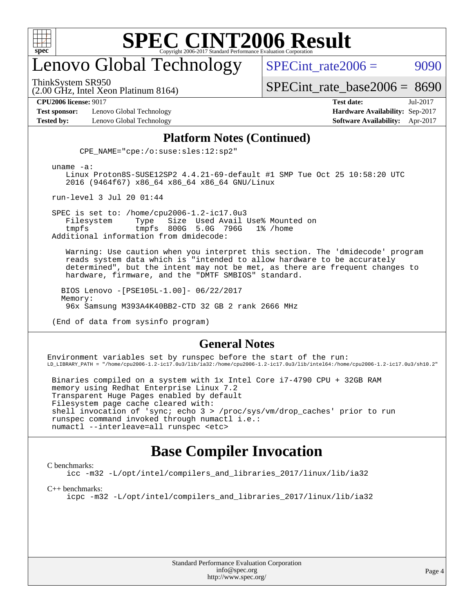

## enovo Global Technology

ThinkSystem SR950

SPECint rate $2006 = 9090$ 

(2.00 GHz, Intel Xeon Platinum 8164)

[SPECint\\_rate\\_base2006 =](http://www.spec.org/auto/cpu2006/Docs/result-fields.html#SPECintratebase2006) 8690

**[Test sponsor:](http://www.spec.org/auto/cpu2006/Docs/result-fields.html#Testsponsor)** Lenovo Global Technology **[Hardware Availability:](http://www.spec.org/auto/cpu2006/Docs/result-fields.html#HardwareAvailability)** Sep-2017

**[CPU2006 license:](http://www.spec.org/auto/cpu2006/Docs/result-fields.html#CPU2006license)** 9017 **[Test date:](http://www.spec.org/auto/cpu2006/Docs/result-fields.html#Testdate)** Jul-2017 **[Tested by:](http://www.spec.org/auto/cpu2006/Docs/result-fields.html#Testedby)** Lenovo Global Technology **[Software Availability:](http://www.spec.org/auto/cpu2006/Docs/result-fields.html#SoftwareAvailability)** Apr-2017

### **[Platform Notes \(Continued\)](http://www.spec.org/auto/cpu2006/Docs/result-fields.html#PlatformNotes)**

CPE\_NAME="cpe:/o:suse:sles:12:sp2"

uname -a:

 Linux Proton8S-SUSE12SP2 4.4.21-69-default #1 SMP Tue Oct 25 10:58:20 UTC 2016 (9464f67) x86\_64 x86\_64 x86\_64 GNU/Linux

run-level 3 Jul 20 01:44

SPEC is set to: /home/cpu2006-1.2-ic17.0u3<br>Filesystem Type Size Used Avail Filesystem Type Size Used Avail Use% Mounted on tmpfs tmpfs 800G 5.0G 796G 1% /home Additional information from dmidecode:

 Warning: Use caution when you interpret this section. The 'dmidecode' program reads system data which is "intended to allow hardware to be accurately determined", but the intent may not be met, as there are frequent changes to hardware, firmware, and the "DMTF SMBIOS" standard.

 BIOS Lenovo -[PSE105L-1.00]- 06/22/2017 Memory: 96x Samsung M393A4K40BB2-CTD 32 GB 2 rank 2666 MHz

(End of data from sysinfo program)

### **[General Notes](http://www.spec.org/auto/cpu2006/Docs/result-fields.html#GeneralNotes)**

Environment variables set by runspec before the start of the run: LD\_LIBRARY\_PATH = "/home/cpu2006-1.2-ic17.0u3/lib/ia32:/home/cpu2006-1.2-ic17.0u3/lib/intel64:/home/cpu2006-1.2-ic17.0u3/sh10.2"

 Binaries compiled on a system with 1x Intel Core i7-4790 CPU + 32GB RAM memory using Redhat Enterprise Linux 7.2 Transparent Huge Pages enabled by default Filesystem page cache cleared with: shell invocation of 'sync; echo 3 > /proc/sys/vm/drop\_caches' prior to run runspec command invoked through numactl i.e.: numactl --interleave=all runspec <etc>

### **[Base Compiler Invocation](http://www.spec.org/auto/cpu2006/Docs/result-fields.html#BaseCompilerInvocation)**

#### [C benchmarks](http://www.spec.org/auto/cpu2006/Docs/result-fields.html#Cbenchmarks):

[icc -m32 -L/opt/intel/compilers\\_and\\_libraries\\_2017/linux/lib/ia32](http://www.spec.org/cpu2006/results/res2017q4/cpu2006-20170917-49356.flags.html#user_CCbase_intel_icc_c29f3ff5a7ed067b11e4ec10a03f03ae)

[C++ benchmarks:](http://www.spec.org/auto/cpu2006/Docs/result-fields.html#CXXbenchmarks)

[icpc -m32 -L/opt/intel/compilers\\_and\\_libraries\\_2017/linux/lib/ia32](http://www.spec.org/cpu2006/results/res2017q4/cpu2006-20170917-49356.flags.html#user_CXXbase_intel_icpc_8c35c7808b62dab9ae41a1aa06361b6b)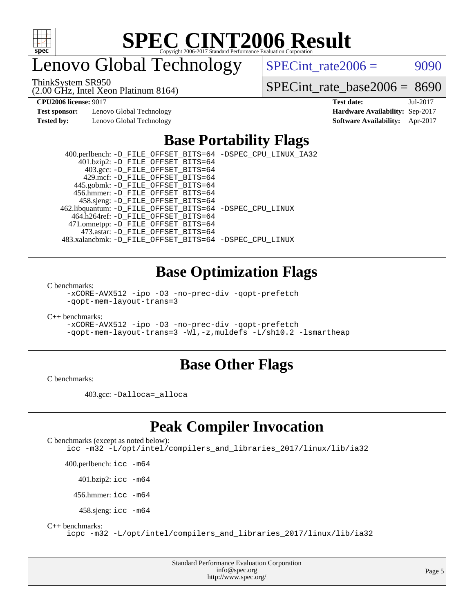

# enovo Global Technology

ThinkSystem SR950

(2.00 GHz, Intel Xeon Platinum 8164)

 $SPECTnt_rate2006 = 9090$ 

[SPECint\\_rate\\_base2006 =](http://www.spec.org/auto/cpu2006/Docs/result-fields.html#SPECintratebase2006) 8690

**[Test sponsor:](http://www.spec.org/auto/cpu2006/Docs/result-fields.html#Testsponsor)** Lenovo Global Technology **[Hardware Availability:](http://www.spec.org/auto/cpu2006/Docs/result-fields.html#HardwareAvailability)** Sep-2017

**[CPU2006 license:](http://www.spec.org/auto/cpu2006/Docs/result-fields.html#CPU2006license)** 9017 **[Test date:](http://www.spec.org/auto/cpu2006/Docs/result-fields.html#Testdate)** Jul-2017 **[Tested by:](http://www.spec.org/auto/cpu2006/Docs/result-fields.html#Testedby)** Lenovo Global Technology **[Software Availability:](http://www.spec.org/auto/cpu2006/Docs/result-fields.html#SoftwareAvailability)** Apr-2017

## **[Base Portability Flags](http://www.spec.org/auto/cpu2006/Docs/result-fields.html#BasePortabilityFlags)**

| 400.perlbench: -D_FILE_OFFSET_BITS=64 -DSPEC_CPU_LINUX_IA32 |
|-------------------------------------------------------------|
|                                                             |
|                                                             |
|                                                             |
|                                                             |
|                                                             |
|                                                             |
| 462.libquantum: -D_FILE_OFFSET_BITS=64 -DSPEC_CPU_LINUX     |
|                                                             |
|                                                             |
|                                                             |
| 483.xalancbmk: -D FILE OFFSET BITS=64 -DSPEC CPU LINUX      |
|                                                             |

## **[Base Optimization Flags](http://www.spec.org/auto/cpu2006/Docs/result-fields.html#BaseOptimizationFlags)**

[C benchmarks](http://www.spec.org/auto/cpu2006/Docs/result-fields.html#Cbenchmarks):

[-xCORE-AVX512](http://www.spec.org/cpu2006/results/res2017q4/cpu2006-20170917-49356.flags.html#user_CCbase_f-xCORE-AVX512) [-ipo](http://www.spec.org/cpu2006/results/res2017q4/cpu2006-20170917-49356.flags.html#user_CCbase_f-ipo) [-O3](http://www.spec.org/cpu2006/results/res2017q4/cpu2006-20170917-49356.flags.html#user_CCbase_f-O3) [-no-prec-div](http://www.spec.org/cpu2006/results/res2017q4/cpu2006-20170917-49356.flags.html#user_CCbase_f-no-prec-div) [-qopt-prefetch](http://www.spec.org/cpu2006/results/res2017q4/cpu2006-20170917-49356.flags.html#user_CCbase_f-qopt-prefetch) [-qopt-mem-layout-trans=3](http://www.spec.org/cpu2006/results/res2017q4/cpu2006-20170917-49356.flags.html#user_CCbase_f-qopt-mem-layout-trans_170f5be61cd2cedc9b54468c59262d5d)

[C++ benchmarks:](http://www.spec.org/auto/cpu2006/Docs/result-fields.html#CXXbenchmarks)

[-xCORE-AVX512](http://www.spec.org/cpu2006/results/res2017q4/cpu2006-20170917-49356.flags.html#user_CXXbase_f-xCORE-AVX512) [-ipo](http://www.spec.org/cpu2006/results/res2017q4/cpu2006-20170917-49356.flags.html#user_CXXbase_f-ipo) [-O3](http://www.spec.org/cpu2006/results/res2017q4/cpu2006-20170917-49356.flags.html#user_CXXbase_f-O3) [-no-prec-div](http://www.spec.org/cpu2006/results/res2017q4/cpu2006-20170917-49356.flags.html#user_CXXbase_f-no-prec-div) [-qopt-prefetch](http://www.spec.org/cpu2006/results/res2017q4/cpu2006-20170917-49356.flags.html#user_CXXbase_f-qopt-prefetch) [-qopt-mem-layout-trans=3](http://www.spec.org/cpu2006/results/res2017q4/cpu2006-20170917-49356.flags.html#user_CXXbase_f-qopt-mem-layout-trans_170f5be61cd2cedc9b54468c59262d5d) [-Wl,-z,muldefs](http://www.spec.org/cpu2006/results/res2017q4/cpu2006-20170917-49356.flags.html#user_CXXbase_link_force_multiple1_74079c344b956b9658436fd1b6dd3a8a) [-L/sh10.2 -lsmartheap](http://www.spec.org/cpu2006/results/res2017q4/cpu2006-20170917-49356.flags.html#user_CXXbase_SmartHeap_b831f2d313e2fffa6dfe3f00ffc1f1c0)

### **[Base Other Flags](http://www.spec.org/auto/cpu2006/Docs/result-fields.html#BaseOtherFlags)**

[C benchmarks](http://www.spec.org/auto/cpu2006/Docs/result-fields.html#Cbenchmarks):

403.gcc: [-Dalloca=\\_alloca](http://www.spec.org/cpu2006/results/res2017q4/cpu2006-20170917-49356.flags.html#b403.gcc_baseEXTRA_CFLAGS_Dalloca_be3056838c12de2578596ca5467af7f3)

### **[Peak Compiler Invocation](http://www.spec.org/auto/cpu2006/Docs/result-fields.html#PeakCompilerInvocation)**

```
C benchmarks (except as noted below): 
icc -m32 -L/opt/intel/compilers_and_libraries_2017/linux/lib/ia32
```
400.perlbench: [icc -m64](http://www.spec.org/cpu2006/results/res2017q4/cpu2006-20170917-49356.flags.html#user_peakCCLD400_perlbench_intel_icc_64bit_bda6cc9af1fdbb0edc3795bac97ada53)

401.bzip2: [icc -m64](http://www.spec.org/cpu2006/results/res2017q4/cpu2006-20170917-49356.flags.html#user_peakCCLD401_bzip2_intel_icc_64bit_bda6cc9af1fdbb0edc3795bac97ada53)

456.hmmer: [icc -m64](http://www.spec.org/cpu2006/results/res2017q4/cpu2006-20170917-49356.flags.html#user_peakCCLD456_hmmer_intel_icc_64bit_bda6cc9af1fdbb0edc3795bac97ada53)

458.sjeng: [icc -m64](http://www.spec.org/cpu2006/results/res2017q4/cpu2006-20170917-49356.flags.html#user_peakCCLD458_sjeng_intel_icc_64bit_bda6cc9af1fdbb0edc3795bac97ada53)

[C++ benchmarks:](http://www.spec.org/auto/cpu2006/Docs/result-fields.html#CXXbenchmarks)

[icpc -m32 -L/opt/intel/compilers\\_and\\_libraries\\_2017/linux/lib/ia32](http://www.spec.org/cpu2006/results/res2017q4/cpu2006-20170917-49356.flags.html#user_CXXpeak_intel_icpc_8c35c7808b62dab9ae41a1aa06361b6b)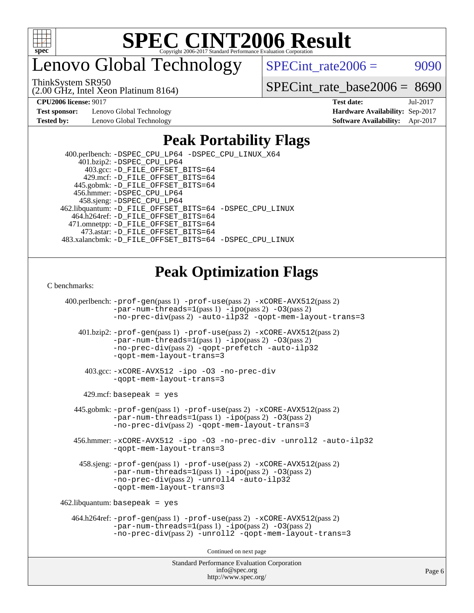

enovo Global Technology

 $SPECTnt_rate2006 = 9090$ 

ThinkSystem SR950

(2.00 GHz, Intel Xeon Platinum 8164)

[SPECint\\_rate\\_base2006 =](http://www.spec.org/auto/cpu2006/Docs/result-fields.html#SPECintratebase2006) 8690

**[Test sponsor:](http://www.spec.org/auto/cpu2006/Docs/result-fields.html#Testsponsor)** Lenovo Global Technology **[Hardware Availability:](http://www.spec.org/auto/cpu2006/Docs/result-fields.html#HardwareAvailability)** Sep-2017

**[CPU2006 license:](http://www.spec.org/auto/cpu2006/Docs/result-fields.html#CPU2006license)** 9017 **[Test date:](http://www.spec.org/auto/cpu2006/Docs/result-fields.html#Testdate)** Jul-2017 **[Tested by:](http://www.spec.org/auto/cpu2006/Docs/result-fields.html#Testedby)** Lenovo Global Technology **[Software Availability:](http://www.spec.org/auto/cpu2006/Docs/result-fields.html#SoftwareAvailability)** Apr-2017

## **[Peak Portability Flags](http://www.spec.org/auto/cpu2006/Docs/result-fields.html#PeakPortabilityFlags)**

 400.perlbench: [-DSPEC\\_CPU\\_LP64](http://www.spec.org/cpu2006/results/res2017q4/cpu2006-20170917-49356.flags.html#b400.perlbench_peakCPORTABILITY_DSPEC_CPU_LP64) [-DSPEC\\_CPU\\_LINUX\\_X64](http://www.spec.org/cpu2006/results/res2017q4/cpu2006-20170917-49356.flags.html#b400.perlbench_peakCPORTABILITY_DSPEC_CPU_LINUX_X64) 401.bzip2: [-DSPEC\\_CPU\\_LP64](http://www.spec.org/cpu2006/results/res2017q4/cpu2006-20170917-49356.flags.html#suite_peakCPORTABILITY401_bzip2_DSPEC_CPU_LP64) 403.gcc: [-D\\_FILE\\_OFFSET\\_BITS=64](http://www.spec.org/cpu2006/results/res2017q4/cpu2006-20170917-49356.flags.html#user_peakPORTABILITY403_gcc_file_offset_bits_64_438cf9856305ebd76870a2c6dc2689ab) 429.mcf: [-D\\_FILE\\_OFFSET\\_BITS=64](http://www.spec.org/cpu2006/results/res2017q4/cpu2006-20170917-49356.flags.html#user_peakPORTABILITY429_mcf_file_offset_bits_64_438cf9856305ebd76870a2c6dc2689ab) 445.gobmk: [-D\\_FILE\\_OFFSET\\_BITS=64](http://www.spec.org/cpu2006/results/res2017q4/cpu2006-20170917-49356.flags.html#user_peakPORTABILITY445_gobmk_file_offset_bits_64_438cf9856305ebd76870a2c6dc2689ab) 456.hmmer: [-DSPEC\\_CPU\\_LP64](http://www.spec.org/cpu2006/results/res2017q4/cpu2006-20170917-49356.flags.html#suite_peakCPORTABILITY456_hmmer_DSPEC_CPU_LP64) 458.sjeng: [-DSPEC\\_CPU\\_LP64](http://www.spec.org/cpu2006/results/res2017q4/cpu2006-20170917-49356.flags.html#suite_peakCPORTABILITY458_sjeng_DSPEC_CPU_LP64) 462.libquantum: [-D\\_FILE\\_OFFSET\\_BITS=64](http://www.spec.org/cpu2006/results/res2017q4/cpu2006-20170917-49356.flags.html#user_peakPORTABILITY462_libquantum_file_offset_bits_64_438cf9856305ebd76870a2c6dc2689ab) [-DSPEC\\_CPU\\_LINUX](http://www.spec.org/cpu2006/results/res2017q4/cpu2006-20170917-49356.flags.html#b462.libquantum_peakCPORTABILITY_DSPEC_CPU_LINUX) 464.h264ref: [-D\\_FILE\\_OFFSET\\_BITS=64](http://www.spec.org/cpu2006/results/res2017q4/cpu2006-20170917-49356.flags.html#user_peakPORTABILITY464_h264ref_file_offset_bits_64_438cf9856305ebd76870a2c6dc2689ab) 471.omnetpp: [-D\\_FILE\\_OFFSET\\_BITS=64](http://www.spec.org/cpu2006/results/res2017q4/cpu2006-20170917-49356.flags.html#user_peakPORTABILITY471_omnetpp_file_offset_bits_64_438cf9856305ebd76870a2c6dc2689ab) 473.astar: [-D\\_FILE\\_OFFSET\\_BITS=64](http://www.spec.org/cpu2006/results/res2017q4/cpu2006-20170917-49356.flags.html#user_peakPORTABILITY473_astar_file_offset_bits_64_438cf9856305ebd76870a2c6dc2689ab) 483.xalancbmk: [-D\\_FILE\\_OFFSET\\_BITS=64](http://www.spec.org/cpu2006/results/res2017q4/cpu2006-20170917-49356.flags.html#user_peakPORTABILITY483_xalancbmk_file_offset_bits_64_438cf9856305ebd76870a2c6dc2689ab) [-DSPEC\\_CPU\\_LINUX](http://www.spec.org/cpu2006/results/res2017q4/cpu2006-20170917-49356.flags.html#b483.xalancbmk_peakCXXPORTABILITY_DSPEC_CPU_LINUX)

## **[Peak Optimization Flags](http://www.spec.org/auto/cpu2006/Docs/result-fields.html#PeakOptimizationFlags)**

[C benchmarks](http://www.spec.org/auto/cpu2006/Docs/result-fields.html#Cbenchmarks):

Standard Performance Evaluation Corporation 400.perlbench: [-prof-gen](http://www.spec.org/cpu2006/results/res2017q4/cpu2006-20170917-49356.flags.html#user_peakPASS1_CFLAGSPASS1_LDCFLAGS400_perlbench_prof_gen_e43856698f6ca7b7e442dfd80e94a8fc)(pass 1) [-prof-use](http://www.spec.org/cpu2006/results/res2017q4/cpu2006-20170917-49356.flags.html#user_peakPASS2_CFLAGSPASS2_LDCFLAGS400_perlbench_prof_use_bccf7792157ff70d64e32fe3e1250b55)(pass 2) [-xCORE-AVX512](http://www.spec.org/cpu2006/results/res2017q4/cpu2006-20170917-49356.flags.html#user_peakPASS2_CFLAGSPASS2_LDCFLAGS400_perlbench_f-xCORE-AVX512)(pass 2) [-par-num-threads=1](http://www.spec.org/cpu2006/results/res2017q4/cpu2006-20170917-49356.flags.html#user_peakPASS1_CFLAGSPASS1_LDCFLAGS400_perlbench_par_num_threads_786a6ff141b4e9e90432e998842df6c2)(pass 1) [-ipo](http://www.spec.org/cpu2006/results/res2017q4/cpu2006-20170917-49356.flags.html#user_peakPASS2_CFLAGSPASS2_LDCFLAGS400_perlbench_f-ipo)(pass 2) [-O3](http://www.spec.org/cpu2006/results/res2017q4/cpu2006-20170917-49356.flags.html#user_peakPASS2_CFLAGSPASS2_LDCFLAGS400_perlbench_f-O3)(pass 2) [-no-prec-div](http://www.spec.org/cpu2006/results/res2017q4/cpu2006-20170917-49356.flags.html#user_peakPASS2_CFLAGSPASS2_LDCFLAGS400_perlbench_f-no-prec-div)(pass 2) [-auto-ilp32](http://www.spec.org/cpu2006/results/res2017q4/cpu2006-20170917-49356.flags.html#user_peakCOPTIMIZE400_perlbench_f-auto-ilp32) [-qopt-mem-layout-trans=3](http://www.spec.org/cpu2006/results/res2017q4/cpu2006-20170917-49356.flags.html#user_peakCOPTIMIZE400_perlbench_f-qopt-mem-layout-trans_170f5be61cd2cedc9b54468c59262d5d) 401.bzip2: [-prof-gen](http://www.spec.org/cpu2006/results/res2017q4/cpu2006-20170917-49356.flags.html#user_peakPASS1_CFLAGSPASS1_LDCFLAGS401_bzip2_prof_gen_e43856698f6ca7b7e442dfd80e94a8fc)(pass 1) [-prof-use](http://www.spec.org/cpu2006/results/res2017q4/cpu2006-20170917-49356.flags.html#user_peakPASS2_CFLAGSPASS2_LDCFLAGS401_bzip2_prof_use_bccf7792157ff70d64e32fe3e1250b55)(pass 2) [-xCORE-AVX512](http://www.spec.org/cpu2006/results/res2017q4/cpu2006-20170917-49356.flags.html#user_peakPASS2_CFLAGSPASS2_LDCFLAGS401_bzip2_f-xCORE-AVX512)(pass 2) [-par-num-threads=1](http://www.spec.org/cpu2006/results/res2017q4/cpu2006-20170917-49356.flags.html#user_peakPASS1_CFLAGSPASS1_LDCFLAGS401_bzip2_par_num_threads_786a6ff141b4e9e90432e998842df6c2)(pass 1) [-ipo](http://www.spec.org/cpu2006/results/res2017q4/cpu2006-20170917-49356.flags.html#user_peakPASS2_CFLAGSPASS2_LDCFLAGS401_bzip2_f-ipo)(pass 2) [-O3](http://www.spec.org/cpu2006/results/res2017q4/cpu2006-20170917-49356.flags.html#user_peakPASS2_CFLAGSPASS2_LDCFLAGS401_bzip2_f-O3)(pass 2) [-no-prec-div](http://www.spec.org/cpu2006/results/res2017q4/cpu2006-20170917-49356.flags.html#user_peakPASS2_CFLAGSPASS2_LDCFLAGS401_bzip2_f-no-prec-div)(pass 2) [-qopt-prefetch](http://www.spec.org/cpu2006/results/res2017q4/cpu2006-20170917-49356.flags.html#user_peakCOPTIMIZE401_bzip2_f-qopt-prefetch) [-auto-ilp32](http://www.spec.org/cpu2006/results/res2017q4/cpu2006-20170917-49356.flags.html#user_peakCOPTIMIZE401_bzip2_f-auto-ilp32) [-qopt-mem-layout-trans=3](http://www.spec.org/cpu2006/results/res2017q4/cpu2006-20170917-49356.flags.html#user_peakCOPTIMIZE401_bzip2_f-qopt-mem-layout-trans_170f5be61cd2cedc9b54468c59262d5d) 403.gcc: [-xCORE-AVX512](http://www.spec.org/cpu2006/results/res2017q4/cpu2006-20170917-49356.flags.html#user_peakOPTIMIZE403_gcc_f-xCORE-AVX512) [-ipo](http://www.spec.org/cpu2006/results/res2017q4/cpu2006-20170917-49356.flags.html#user_peakOPTIMIZE403_gcc_f-ipo) [-O3](http://www.spec.org/cpu2006/results/res2017q4/cpu2006-20170917-49356.flags.html#user_peakOPTIMIZE403_gcc_f-O3) [-no-prec-div](http://www.spec.org/cpu2006/results/res2017q4/cpu2006-20170917-49356.flags.html#user_peakOPTIMIZE403_gcc_f-no-prec-div) [-qopt-mem-layout-trans=3](http://www.spec.org/cpu2006/results/res2017q4/cpu2006-20170917-49356.flags.html#user_peakCOPTIMIZE403_gcc_f-qopt-mem-layout-trans_170f5be61cd2cedc9b54468c59262d5d)  $429$ .mcf: basepeak = yes 445.gobmk: [-prof-gen](http://www.spec.org/cpu2006/results/res2017q4/cpu2006-20170917-49356.flags.html#user_peakPASS1_CFLAGSPASS1_LDCFLAGS445_gobmk_prof_gen_e43856698f6ca7b7e442dfd80e94a8fc)(pass 1) [-prof-use](http://www.spec.org/cpu2006/results/res2017q4/cpu2006-20170917-49356.flags.html#user_peakPASS2_CFLAGSPASS2_LDCFLAGSPASS2_LDFLAGS445_gobmk_prof_use_bccf7792157ff70d64e32fe3e1250b55)(pass 2) [-xCORE-AVX512](http://www.spec.org/cpu2006/results/res2017q4/cpu2006-20170917-49356.flags.html#user_peakPASS2_CFLAGSPASS2_LDCFLAGSPASS2_LDFLAGS445_gobmk_f-xCORE-AVX512)(pass 2) [-par-num-threads=1](http://www.spec.org/cpu2006/results/res2017q4/cpu2006-20170917-49356.flags.html#user_peakPASS1_CFLAGSPASS1_LDCFLAGS445_gobmk_par_num_threads_786a6ff141b4e9e90432e998842df6c2)(pass 1) [-ipo](http://www.spec.org/cpu2006/results/res2017q4/cpu2006-20170917-49356.flags.html#user_peakPASS2_LDCFLAGS445_gobmk_f-ipo)(pass 2) [-O3](http://www.spec.org/cpu2006/results/res2017q4/cpu2006-20170917-49356.flags.html#user_peakPASS2_LDCFLAGS445_gobmk_f-O3)(pass 2) [-no-prec-div](http://www.spec.org/cpu2006/results/res2017q4/cpu2006-20170917-49356.flags.html#user_peakPASS2_LDCFLAGS445_gobmk_f-no-prec-div)(pass 2) [-qopt-mem-layout-trans=3](http://www.spec.org/cpu2006/results/res2017q4/cpu2006-20170917-49356.flags.html#user_peakCOPTIMIZE445_gobmk_f-qopt-mem-layout-trans_170f5be61cd2cedc9b54468c59262d5d) 456.hmmer: [-xCORE-AVX512](http://www.spec.org/cpu2006/results/res2017q4/cpu2006-20170917-49356.flags.html#user_peakOPTIMIZE456_hmmer_f-xCORE-AVX512) [-ipo](http://www.spec.org/cpu2006/results/res2017q4/cpu2006-20170917-49356.flags.html#user_peakOPTIMIZE456_hmmer_f-ipo) [-O3](http://www.spec.org/cpu2006/results/res2017q4/cpu2006-20170917-49356.flags.html#user_peakOPTIMIZE456_hmmer_f-O3) [-no-prec-div](http://www.spec.org/cpu2006/results/res2017q4/cpu2006-20170917-49356.flags.html#user_peakOPTIMIZE456_hmmer_f-no-prec-div) [-unroll2](http://www.spec.org/cpu2006/results/res2017q4/cpu2006-20170917-49356.flags.html#user_peakCOPTIMIZE456_hmmer_f-unroll_784dae83bebfb236979b41d2422d7ec2) [-auto-ilp32](http://www.spec.org/cpu2006/results/res2017q4/cpu2006-20170917-49356.flags.html#user_peakCOPTIMIZE456_hmmer_f-auto-ilp32) [-qopt-mem-layout-trans=3](http://www.spec.org/cpu2006/results/res2017q4/cpu2006-20170917-49356.flags.html#user_peakCOPTIMIZE456_hmmer_f-qopt-mem-layout-trans_170f5be61cd2cedc9b54468c59262d5d) 458.sjeng: [-prof-gen](http://www.spec.org/cpu2006/results/res2017q4/cpu2006-20170917-49356.flags.html#user_peakPASS1_CFLAGSPASS1_LDCFLAGS458_sjeng_prof_gen_e43856698f6ca7b7e442dfd80e94a8fc)(pass 1) [-prof-use](http://www.spec.org/cpu2006/results/res2017q4/cpu2006-20170917-49356.flags.html#user_peakPASS2_CFLAGSPASS2_LDCFLAGS458_sjeng_prof_use_bccf7792157ff70d64e32fe3e1250b55)(pass 2) [-xCORE-AVX512](http://www.spec.org/cpu2006/results/res2017q4/cpu2006-20170917-49356.flags.html#user_peakPASS2_CFLAGSPASS2_LDCFLAGS458_sjeng_f-xCORE-AVX512)(pass 2) [-par-num-threads=1](http://www.spec.org/cpu2006/results/res2017q4/cpu2006-20170917-49356.flags.html#user_peakPASS1_CFLAGSPASS1_LDCFLAGS458_sjeng_par_num_threads_786a6ff141b4e9e90432e998842df6c2)(pass 1) [-ipo](http://www.spec.org/cpu2006/results/res2017q4/cpu2006-20170917-49356.flags.html#user_peakPASS2_CFLAGSPASS2_LDCFLAGS458_sjeng_f-ipo)(pass 2) [-O3](http://www.spec.org/cpu2006/results/res2017q4/cpu2006-20170917-49356.flags.html#user_peakPASS2_CFLAGSPASS2_LDCFLAGS458_sjeng_f-O3)(pass 2) [-no-prec-div](http://www.spec.org/cpu2006/results/res2017q4/cpu2006-20170917-49356.flags.html#user_peakPASS2_CFLAGSPASS2_LDCFLAGS458_sjeng_f-no-prec-div)(pass 2) [-unroll4](http://www.spec.org/cpu2006/results/res2017q4/cpu2006-20170917-49356.flags.html#user_peakCOPTIMIZE458_sjeng_f-unroll_4e5e4ed65b7fd20bdcd365bec371b81f) [-auto-ilp32](http://www.spec.org/cpu2006/results/res2017q4/cpu2006-20170917-49356.flags.html#user_peakCOPTIMIZE458_sjeng_f-auto-ilp32) [-qopt-mem-layout-trans=3](http://www.spec.org/cpu2006/results/res2017q4/cpu2006-20170917-49356.flags.html#user_peakCOPTIMIZE458_sjeng_f-qopt-mem-layout-trans_170f5be61cd2cedc9b54468c59262d5d)  $462$ .libquantum: basepeak = yes 464.h264ref: [-prof-gen](http://www.spec.org/cpu2006/results/res2017q4/cpu2006-20170917-49356.flags.html#user_peakPASS1_CFLAGSPASS1_LDCFLAGS464_h264ref_prof_gen_e43856698f6ca7b7e442dfd80e94a8fc)(pass 1) [-prof-use](http://www.spec.org/cpu2006/results/res2017q4/cpu2006-20170917-49356.flags.html#user_peakPASS2_CFLAGSPASS2_LDCFLAGS464_h264ref_prof_use_bccf7792157ff70d64e32fe3e1250b55)(pass 2) [-xCORE-AVX512](http://www.spec.org/cpu2006/results/res2017q4/cpu2006-20170917-49356.flags.html#user_peakPASS2_CFLAGSPASS2_LDCFLAGS464_h264ref_f-xCORE-AVX512)(pass 2)  $-par-num-threads=1(pass 1) -ipo(pass 2) -O3(pass 2)$  $-par-num-threads=1(pass 1) -ipo(pass 2) -O3(pass 2)$  $-par-num-threads=1(pass 1) -ipo(pass 2) -O3(pass 2)$  $-par-num-threads=1(pass 1) -ipo(pass 2) -O3(pass 2)$  $-par-num-threads=1(pass 1) -ipo(pass 2) -O3(pass 2)$  $-par-num-threads=1(pass 1) -ipo(pass 2) -O3(pass 2)$ [-no-prec-div](http://www.spec.org/cpu2006/results/res2017q4/cpu2006-20170917-49356.flags.html#user_peakPASS2_CFLAGSPASS2_LDCFLAGS464_h264ref_f-no-prec-div)(pass 2) [-unroll2](http://www.spec.org/cpu2006/results/res2017q4/cpu2006-20170917-49356.flags.html#user_peakCOPTIMIZE464_h264ref_f-unroll_784dae83bebfb236979b41d2422d7ec2) [-qopt-mem-layout-trans=3](http://www.spec.org/cpu2006/results/res2017q4/cpu2006-20170917-49356.flags.html#user_peakCOPTIMIZE464_h264ref_f-qopt-mem-layout-trans_170f5be61cd2cedc9b54468c59262d5d) Continued on next page

[info@spec.org](mailto:info@spec.org) <http://www.spec.org/>